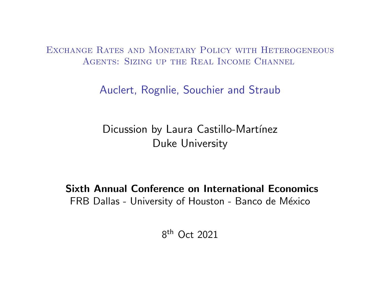Exchange Rates and Monetary Policy with Heterogeneous AGENTS: SIZING UP THE REAL INCOME CHANNEL

Auclert, Rognlie, Souchier and Straub

Dicussion by Laura Castillo-Martínez Duke University

Sixth Annual Conference on International Economics FRB Dallas - University of Houston - Banco de México

8 th Oct 2021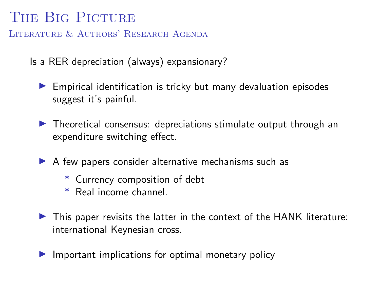# THE BIG PICTURE

LITERATURE & AUTHORS' RESEARCH AGENDA

Is a RER depreciation (always) expansionary?

 $\blacktriangleright$  Empirical identification is tricky but many devaluation episodes suggest it's painful.

- $\blacktriangleright$  Theoretical consensus: depreciations stimulate output through an expenditure switching effect.
- $\triangleright$  A few papers consider alternative mechanisms such as
	- \* Currency composition of debt
	- \* Real income channel.
- $\triangleright$  This paper revisits the latter in the context of the HANK literature: international Keynesian cross.
- $\blacktriangleright$  Important implications for optimal monetary policy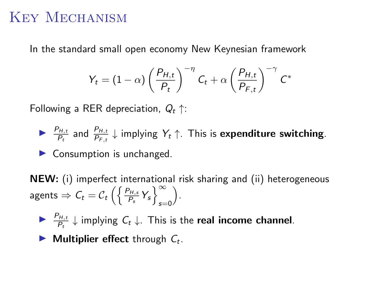### Key Mechanism

In the standard small open economy New Keynesian framework

$$
Y_t = (1 - \alpha) \left(\frac{P_{H,t}}{P_t}\right)^{-\eta} C_t + \alpha \left(\frac{P_{H,t}}{P_{F,t}}\right)^{-\gamma} C^*
$$

Following a RER depreciation,  $Q_t \uparrow$ :

▶  $\frac{P_{H,t}}{P_t}$  and  $\frac{P_{H,t}}{P_{F,t}} \downarrow$  implying  $Y_t \uparrow$ . This is expenditure switching.

 $\blacktriangleright$  Consumption is unchanged.

NEW: (i) imperfect international risk sharing and (ii) heterogeneous agents  $\Rightarrow C_t = C_t \left( \left\{ \frac{P_{H,s}}{P_s} Y_s \right\}_{s=1}^{\infty} \right)$  $_{s=0}$ .

▶  $\frac{P_{H,t}}{P_t}$   $\downarrow$  implying  $C_t$   $\downarrow$ . This is the real income channel.

 $\blacktriangleright$  Multiplier effect through  $C_t$ .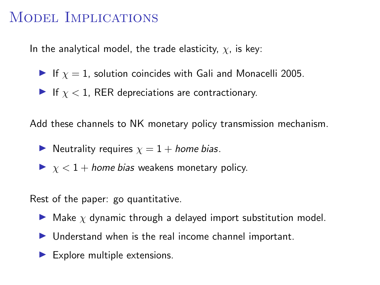### MODEL IMPLICATIONS

In the analytical model, the trade elasticity,  $\chi$ , is key:

- If  $\chi = 1$ , solution coincides with Gali and Monacelli 2005.
- If  $\chi$  < 1, RER depreciations are contractionary.

Add these channels to NK monetary policy transmission mechanism.

- Neutrality requires  $\chi = 1 +$  home bias.
- $\triangleright$   $\chi$  < 1 + home bias weakens monetary policy.

Rest of the paper: go quantitative.

- $\blacktriangleright$  Make  $\chi$  dynamic through a delayed import substitution model.
- $\blacktriangleright$  Understand when is the real income channel important.
- $\blacktriangleright$  Explore multiple extensions.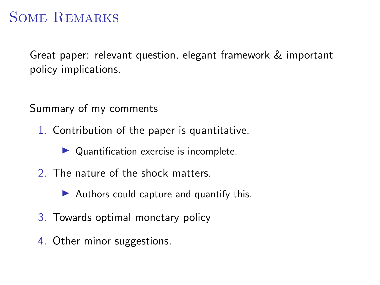# Some Remarks

Great paper: relevant question, elegant framework & important policy implications.

Summary of my comments

- 1. Contribution of the paper is quantitative.
	- $\triangleright$  Quantification exercise is incomplete.
- 2. The nature of the shock matters.
	- Authors could capture and quantify this.
- 3. Towards optimal monetary policy
- 4. Other minor suggestions.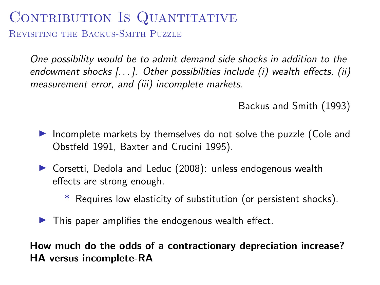# CONTRIBUTION IS QUANTITATIVE

Revisiting the Backus-Smith Puzzle

One possibility would be to admit demand side shocks in addition to the endowment shocks [...]. Other possibilities include (i) wealth effects, (ii) measurement error, and (iii) incomplete markets.

Backus and Smith (1993)

- Incomplete markets by themselves do not solve the puzzle (Cole and Obstfeld 1991, Baxter and Crucini 1995).
- $\triangleright$  Corsetti, Dedola and Leduc (2008): unless endogenous wealth effects are strong enough.
	- \* Requires low elasticity of substitution (or persistent shocks).
- $\blacktriangleright$  This paper amplifies the endogenous wealth effect.

How much do the odds of a contractionary depreciation increase? HA versus incomplete-RA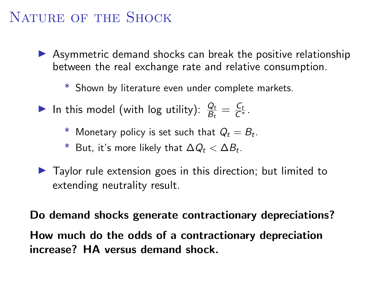# NATURE OF THE SHOCK

- $\triangleright$  Asymmetric demand shocks can break the positive relationship between the real exchange rate and relative consumption.
	- \* Shown by literature even under complete markets.
- In this model (with log utility):  $\frac{Q_t}{B_t} = \frac{C_t}{C^*}.$ 
	- $^{\ast}$  Monetary policy is set such that  $Q_t=B_t.$
	- $^*$  But, it's more likely that  $\Delta Q_t < \Delta B_t.$
- $\blacktriangleright$  Taylor rule extension goes in this direction; but limited to extending neutrality result.

Do demand shocks generate contractionary depreciations? How much do the odds of a contractionary depreciation increase? HA versus demand shock.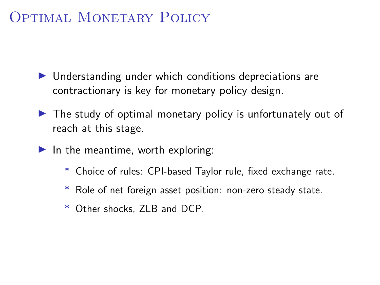## Optimal MONETARY POLICY

- $\blacktriangleright$  Understanding under which conditions depreciations are contractionary is key for monetary policy design.
- $\triangleright$  The study of optimal monetary policy is unfortunately out of reach at this stage.
- $\blacktriangleright$  In the meantime, worth exploring:
	- \* Choice of rules: CPI-based Taylor rule, fixed exchange rate.
	- \* Role of net foreign asset position: non-zero steady state.
	- \* Other shocks, ZLB and DCP.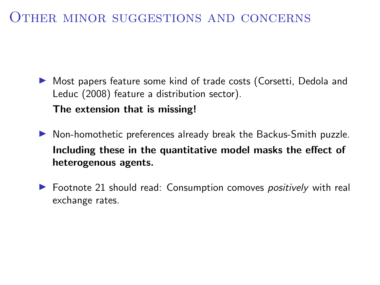#### Other minor suggestions and concerns

▶ Most papers feature some kind of trade costs (Corsetti, Dedola and Leduc (2008) feature a distribution sector). The extension that is missing!

 $\blacktriangleright$  Non-homothetic preferences already break the Backus-Smith puzzle. Including these in the quantitative model masks the effect of heterogenous agents.

 $\triangleright$  Footnote 21 should read: Consumption comoves *positively* with real exchange rates.